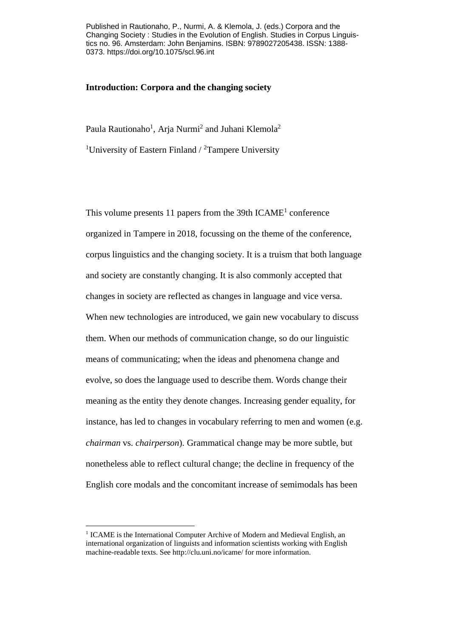Published in Rautionaho, P., Nurmi, A. & Klemola, J. (eds.) Corpora and the Changing Society : Studies in the Evolution of English. Studies in Corpus Linguistics no. 96. Amsterdam: John Benjamins. ISBN: 9789027205438. ISSN: 1388- 0373. https://doi.org/10.1075/scl.96.int

## **Introduction: Corpora and the changing society**

Paula Rautionaho<sup>1</sup>, Arja Nurmi<sup>2</sup> and Juhani Klemola<sup>2</sup> <sup>1</sup>University of Eastern Finland  $/$ <sup>2</sup>Tampere University

This volume presents 11 papers from the  $39th$  ICAME<sup>1</sup> conference organized in Tampere in 2018, focussing on the theme of the conference, corpus linguistics and the changing society. It is a truism that both language and society are constantly changing. It is also commonly accepted that changes in society are reflected as changes in language and vice versa. When new technologies are introduced, we gain new vocabulary to discuss them. When our methods of communication change, so do our linguistic means of communicating; when the ideas and phenomena change and evolve, so does the language used to describe them. Words change their meaning as the entity they denote changes. Increasing gender equality, for instance, has led to changes in vocabulary referring to men and women (e.g. *chairman* vs. *chairperson*). Grammatical change may be more subtle, but nonetheless able to reflect cultural change; the decline in frequency of the English core modals and the concomitant increase of semimodals has been

<sup>&</sup>lt;sup>1</sup> ICAME is the International Computer Archive of Modern and Medieval English, an international organization of linguists and information scientists working with English machine-readable texts. See http://clu.uni.no/icame/ for more information.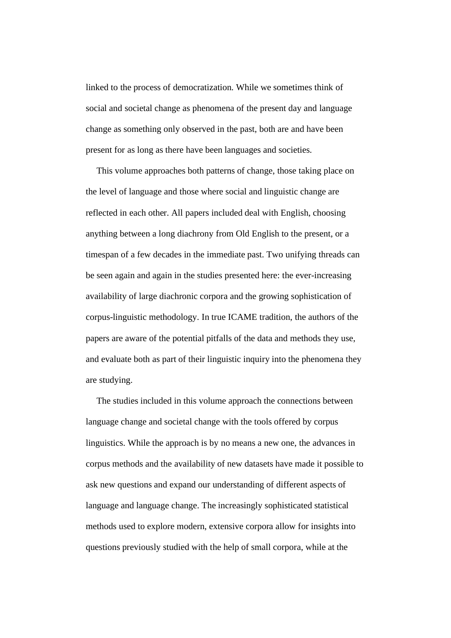linked to the process of democratization. While we sometimes think of social and societal change as phenomena of the present day and language change as something only observed in the past, both are and have been present for as long as there have been languages and societies.

This volume approaches both patterns of change, those taking place on the level of language and those where social and linguistic change are reflected in each other. All papers included deal with English, choosing anything between a long diachrony from Old English to the present, or a timespan of a few decades in the immediate past. Two unifying threads can be seen again and again in the studies presented here: the ever-increasing availability of large diachronic corpora and the growing sophistication of corpus-linguistic methodology. In true ICAME tradition, the authors of the papers are aware of the potential pitfalls of the data and methods they use, and evaluate both as part of their linguistic inquiry into the phenomena they are studying.

The studies included in this volume approach the connections between language change and societal change with the tools offered by corpus linguistics. While the approach is by no means a new one, the advances in corpus methods and the availability of new datasets have made it possible to ask new questions and expand our understanding of different aspects of language and language change. The increasingly sophisticated statistical methods used to explore modern, extensive corpora allow for insights into questions previously studied with the help of small corpora, while at the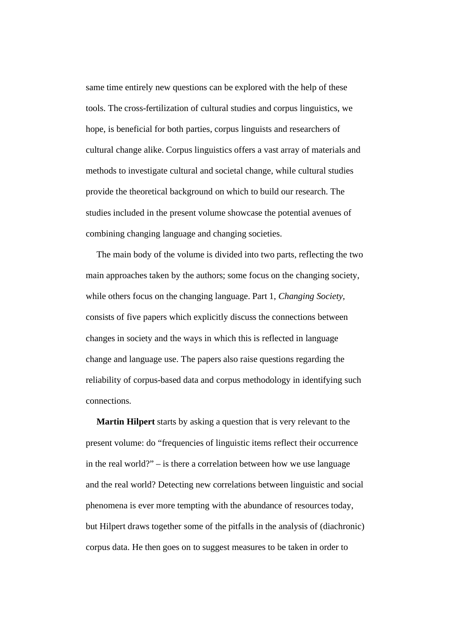same time entirely new questions can be explored with the help of these tools. The cross-fertilization of cultural studies and corpus linguistics, we hope, is beneficial for both parties, corpus linguists and researchers of cultural change alike. Corpus linguistics offers a vast array of materials and methods to investigate cultural and societal change, while cultural studies provide the theoretical background on which to build our research. The studies included in the present volume showcase the potential avenues of combining changing language and changing societies.

The main body of the volume is divided into two parts, reflecting the two main approaches taken by the authors; some focus on the changing society, while others focus on the changing language. Part 1, *Changing Society*, consists of five papers which explicitly discuss the connections between changes in society and the ways in which this is reflected in language change and language use. The papers also raise questions regarding the reliability of corpus-based data and corpus methodology in identifying such connections.

**Martin Hilpert** starts by asking a question that is very relevant to the present volume: do "frequencies of linguistic items reflect their occurrence in the real world?" – is there a correlation between how we use language and the real world? Detecting new correlations between linguistic and social phenomena is ever more tempting with the abundance of resources today, but Hilpert draws together some of the pitfalls in the analysis of (diachronic) corpus data. He then goes on to suggest measures to be taken in order to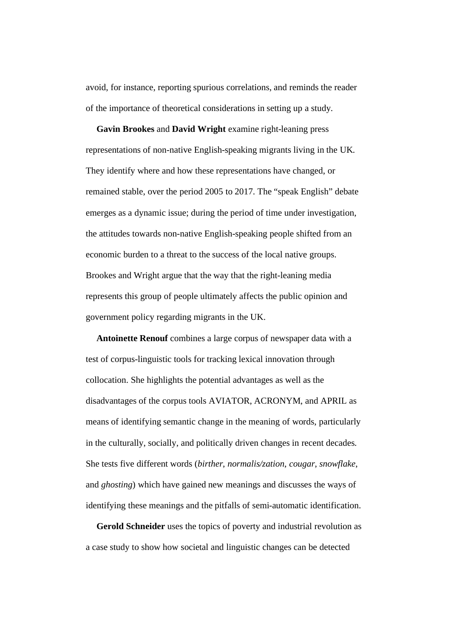avoid, for instance, reporting spurious correlations, and reminds the reader of the importance of theoretical considerations in setting up a study.

**Gavin Brookes** and **David Wright** examine right-leaning press representations of non-native English-speaking migrants living in the UK. They identify where and how these representations have changed, or remained stable, over the period 2005 to 2017. The "speak English" debate emerges as a dynamic issue; during the period of time under investigation, the attitudes towards non-native English-speaking people shifted from an economic burden to a threat to the success of the local native groups. Brookes and Wright argue that the way that the right-leaning media represents this group of people ultimately affects the public opinion and government policy regarding migrants in the UK.

**Antoinette Renouf** combines a large corpus of newspaper data with a test of corpus-linguistic tools for tracking lexical innovation through collocation. She highlights the potential advantages as well as the disadvantages of the corpus tools AVIATOR, ACRONYM, and APRIL as means of identifying semantic change in the meaning of words, particularly in the culturally, socially, and politically driven changes in recent decades. She tests five different words (*birther*, *normalis/zation*, *cougar*, *snowflake*, and *ghosting*) which have gained new meanings and discusses the ways of identifying these meanings and the pitfalls of semi-automatic identification.

**Gerold Schneider** uses the topics of poverty and industrial revolution as a case study to show how societal and linguistic changes can be detected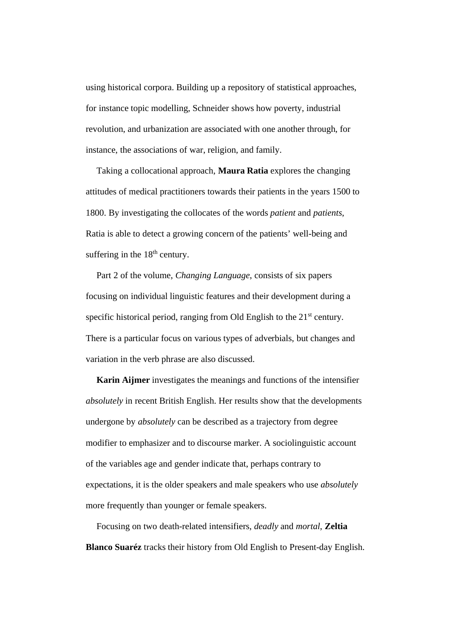using historical corpora. Building up a repository of statistical approaches, for instance topic modelling, Schneider shows how poverty, industrial revolution, and urbanization are associated with one another through, for instance, the associations of war, religion, and family.

Taking a collocational approach, **Maura Ratia** explores the changing attitudes of medical practitioners towards their patients in the years 1500 to 1800. By investigating the collocates of the words *patient* and *patients*, Ratia is able to detect a growing concern of the patients' well-being and suffering in the  $18<sup>th</sup>$  century.

Part 2 of the volume, *Changing Language*, consists of six papers focusing on individual linguistic features and their development during a specific historical period, ranging from Old English to the  $21<sup>st</sup>$  century. There is a particular focus on various types of adverbials, but changes and variation in the verb phrase are also discussed.

**Karin Aijmer** investigates the meanings and functions of the intensifier *absolutely* in recent British English. Her results show that the developments undergone by *absolutely* can be described as a trajectory from degree modifier to emphasizer and to discourse marker. A sociolinguistic account of the variables age and gender indicate that, perhaps contrary to expectations, it is the older speakers and male speakers who use *absolutely* more frequently than younger or female speakers.

Focusing on two death-related intensifiers, *deadly* and *mortal*, **Zeltia Blanco Suaréz** tracks their history from Old English to Present-day English.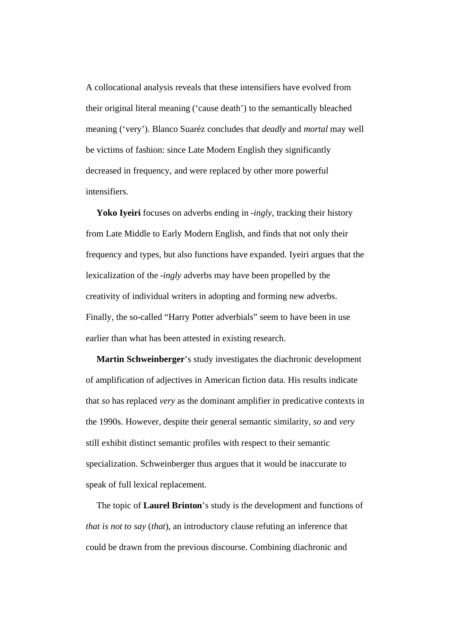A collocational analysis reveals that these intensifiers have evolved from their original literal meaning ('cause death') to the semantically bleached meaning ('very'). Blanco Suaréz concludes that *deadly* and *mortal* may well be victims of fashion: since Late Modern English they significantly decreased in frequency, and were replaced by other more powerful intensifiers.

**Yoko Iyeiri** focuses on adverbs ending in -*ingly*, tracking their history from Late Middle to Early Modern English, and finds that not only their frequency and types, but also functions have expanded. Iyeiri argues that the lexicalization of the -*ingly* adverbs may have been propelled by the creativity of individual writers in adopting and forming new adverbs. Finally, the so-called "Harry Potter adverbials" seem to have been in use earlier than what has been attested in existing research.

**Martin Schweinberger**'s study investigates the diachronic development of amplification of adjectives in American fiction data. His results indicate that *so* has replaced *very* as the dominant amplifier in predicative contexts in the 1990s. However, despite their general semantic similarity, *so* and *very* still exhibit distinct semantic profiles with respect to their semantic specialization. Schweinberger thus argues that it would be inaccurate to speak of full lexical replacement.

The topic of **Laurel Brinton**'s study is the development and functions of *that is not to say* (*that*), an introductory clause refuting an inference that could be drawn from the previous discourse. Combining diachronic and